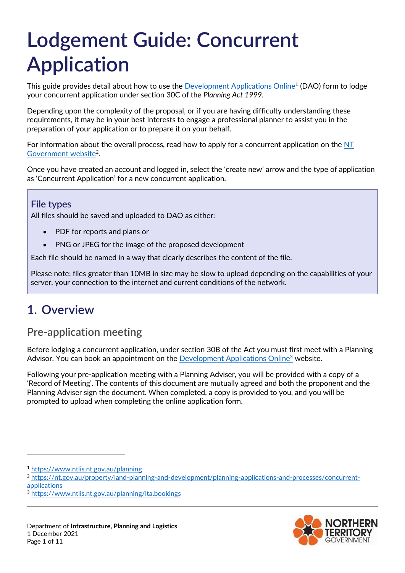# **Lodgement Guide: Concurrent Application**

This guide provides detail about how to use the <u>Development Applications Online</u><sup>1</sup> (DAO) form to lodge your concurrent application under section 30C of the *Planning Act 1999.*

Depending upon the complexity of the proposal, or if you are having difficulty understanding these requirements, it may be in your best interests to engage a professional planner to assist you in the preparation of your application or to prepare it on your behalf.

For information about the overall process, read how to apply for a concurrent application on the  $NT$ [Government website](https://nt.gov.au/property/land-planning-and-development/planning-applications-and-processes/concurrent-applications)<sup>2</sup>.

Once you have created an account and logged in, select the 'create new' arrow and the type of application as 'Concurrent Application' for a new concurrent application.

#### **File types**

All files should be saved and uploaded to DAO as either:

- PDF for reports and plans or
- PNG or JPEG for the image of the proposed development

Each file should be named in a way that clearly describes the content of the file.

Please note: files greater than 10MB in size may be slow to upload depending on the capabilities of your server, your connection to the internet and current conditions of the network.

# **1. Overview**

# **Pre-application meeting**

Before lodging a concurrent application, under section 30B of the Act you must first meet with a Planning Advisor. You can book an appointment on the [Development Applications Online](https://www.ntlis.nt.gov.au/planning/lta.bookings)<sup>3</sup> website.

Following your pre-application meeting with a Planning Adviser, you will be provided with a copy of a 'Record of Meeting'. The contents of this document are mutually agreed and both the proponent and the Planning Adviser sign the document. When completed, a copy is provided to you, and you will be prompted to upload when completing the online application form.

-



<sup>1</sup> <https://www.ntlis.nt.gov.au/planning>

<sup>&</sup>lt;sup>2</sup> [https://nt.gov.au/property/land-planning-and-development/planning-applications-and-processes/concurrent](https://nt.gov.au/property/land-planning-and-development/planning-applications-and-processes/concurrent-applications)[applications](https://nt.gov.au/property/land-planning-and-development/planning-applications-and-processes/concurrent-applications)

<sup>3</sup> <https://www.ntlis.nt.gov.au/planning/lta.bookings>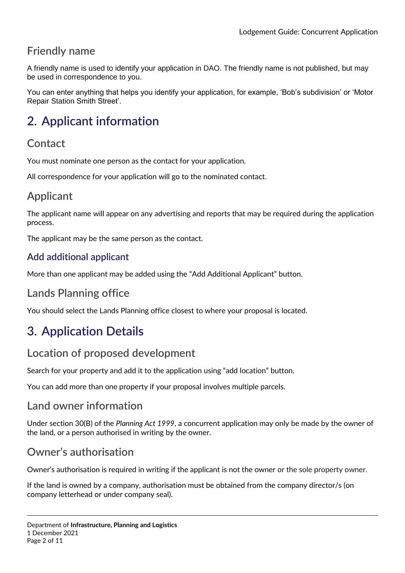# **Friendly name**

A friendly name is used to identify your application in DAO. The friendly name is not published, but may be used in correspondence to you.

You can enter anything that helps you identify your application, for example, 'Bob's subdivision' or 'Motor Repair Station Smith Street'.

# **2. Applicant information**

### **Contact**

You must nominate one person as the contact for your application.

All correspondence for your application will go to the nominated contact.

# **Applicant**

The applicant name will appear on any advertising and reports that may be required during the application process.

The applicant may be the same person as the contact.

### **Add additional applicant**

More than one applicant may be added using the "Add Additional Applicant" button.

# **Lands Planning office**

You should select the Lands Planning office closest to where your proposal is located.

# **3. Application Details**

### **Location of proposed development**

Search for your property and add it to the application using "add location" button.

You can add more than one property if your proposal involves multiple parcels.

### **Land owner information**

Under section 30(B) of the *Planning Act 1999*, a concurrent application may only be made by the owner of the land, or a person authorised in writing by the owner.

### **Owner's authorisation**

Owner's authorisation is required in writing if the applicant is not the owner or the sole property owner.

If the land is owned by a company, authorisation must be obtained from the company director/s (on company letterhead or under company seal).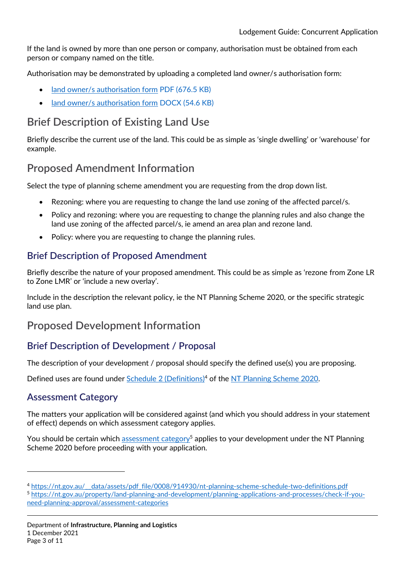If the land is owned by more than one person or company, authorisation must be obtained from each person or company named on the title.

Authorisation may be demonstrated by uploading a completed land owner/s authorisation form:

- [land owner/s authorisation form](https://nt.gov.au/__data/assets/pdf_file/0005/675365/landowners-authorisation-to-lodge-a-da-form.pdf) PDF (676.5 KB)
- [land owner/s authorisation form](https://nt.gov.au/__data/assets/word_doc/0011/675362/landowners-authorisation-to-lodge-a-da-form.docx) DOCX (54.6 KB)

# **Brief Description of Existing Land Use**

Briefly describe the current use of the land. This could be as simple as 'single dwelling' or 'warehouse' for example.

# **Proposed Amendment Information**

Select the type of planning scheme amendment you are requesting from the drop down list.

- Rezoning: where you are requesting to change the land use zoning of the affected parcel/s.
- Policy and rezoning: where you are requesting to change the planning rules and also change the land use zoning of the affected parcel/s, ie amend an area plan and rezone land.
- Policy: where you are requesting to change the planning rules.

### **Brief Description of Proposed Amendment**

Briefly describe the nature of your proposed amendment. This could be as simple as 'rezone from Zone LR to Zone LMR' or 'include a new overlay'.

Include in the description the relevant policy, ie the NT Planning Scheme 2020, or the specific strategic land use plan.

# **Proposed Development Information**

### **Brief Description of Development / Proposal**

The description of your development / proposal should specify the defined use(s) you are proposing.

Defined uses are found under [Schedule 2 \(Definitions\)](https://nt.gov.au/__data/assets/pdf_file/0008/914930/nt-planning-scheme-schedule-two-definitions.pdf)<sup>4</sup> of the [NT Planning Scheme 2020.](https://nt.gov.au/property/land-planning-and-development/our-planning-system/nt-planning-scheme)

### **Assessment Category**

 $\overline{a}$ 

The matters your application will be considered against (and which you should address in your statement of effect) depends on which assessment category applies.

You should be certain which [assessment category](https://nt.gov.au/property/land-planning-and-development/planning-applications-and-processes/check-if-you-need-planning-approval/assessment-categories)<sup>5</sup> applies to your development under the NT Planning Scheme 2020 before proceeding with your application.

<sup>4</sup> [https://nt.gov.au/\\_\\_data/assets/pdf\\_file/0008/914930/nt-planning-scheme-schedule-two-definitions.pdf](https://nt.gov.au/__data/assets/pdf_file/0008/914930/nt-planning-scheme-schedule-two-definitions.pdf)

<sup>5</sup> [https://nt.gov.au/property/land-planning-and-development/planning-applications-and-processes/check-if-you](https://nt.gov.au/property/land-planning-and-development/planning-applications-and-processes/check-if-you-need-planning-approval/assessment-categories)[need-planning-approval/assessment-categories](https://nt.gov.au/property/land-planning-and-development/planning-applications-and-processes/check-if-you-need-planning-approval/assessment-categories)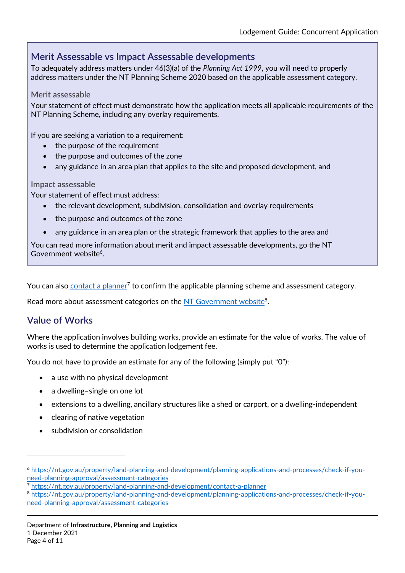### **Merit Assessable vs Impact Assessable developments**

To adequately address matters under 46(3)(a) of the *Planning Act 1999*, you will need to properly address matters under the NT Planning Scheme 2020 based on the applicable assessment category.

#### **Merit assessable**

Your statement of effect must demonstrate how the application meets all applicable requirements of the NT Planning Scheme, including any overlay requirements.

If you are seeking a variation to a requirement:

- the purpose of the requirement
- the purpose and outcomes of the zone
- any guidance in an area plan that applies to the site and proposed development, and

#### **Impact assessable**

Your statement of effect must address:

- the relevant development, subdivision, consolidation and overlay requirements
- the purpose and outcomes of the zone
- any guidance in an area plan or the strategic framework that applies to the area and

You can read more information about merit and impact assessable developments, go the NT Government website<sup>6</sup>.

You can also <u>contact a planner</u><sup>7</sup> to confirm the applicable planning scheme and assessment category.

Read more about assessment categories on the [NT Government website](https://nt.gov.au/property/land-planning-and-development/planning-applications-and-processes/check-if-you-need-planning-approval/assessment-categories)<sup>8</sup>.

### **Value of Works**

 $\overline{a}$ 

Where the application involves building works, provide an estimate for the value of works. The value of works is used to determine the application lodgement fee.

You do not have to provide an estimate for any of the following (simply put "0"):

- a use with no physical development
- a dwelling-single on one lot
- extensions to a dwelling, ancillary structures like a shed or carport, or a dwelling-independent
- clearing of native vegetation
- subdivision or consolidation

<sup>6</sup> [https://nt.gov.au/property/land-planning-and-development/planning-applications-and-processes/check-if-you](https://nt.gov.au/property/land-planning-and-development/planning-applications-and-processes/check-if-you-need-planning-approval/assessment-categories)[need-planning-approval/assessment-categories](https://nt.gov.au/property/land-planning-and-development/planning-applications-and-processes/check-if-you-need-planning-approval/assessment-categories)

<sup>7</sup> <https://nt.gov.au/property/land-planning-and-development/contact-a-planner>

<sup>8</sup> [https://nt.gov.au/property/land-planning-and-development/planning-applications-and-processes/check-if-you](https://nt.gov.au/property/land-planning-and-development/planning-applications-and-processes/check-if-you-need-planning-approval/assessment-categories)[need-planning-approval/assessment-categories](https://nt.gov.au/property/land-planning-and-development/planning-applications-and-processes/check-if-you-need-planning-approval/assessment-categories)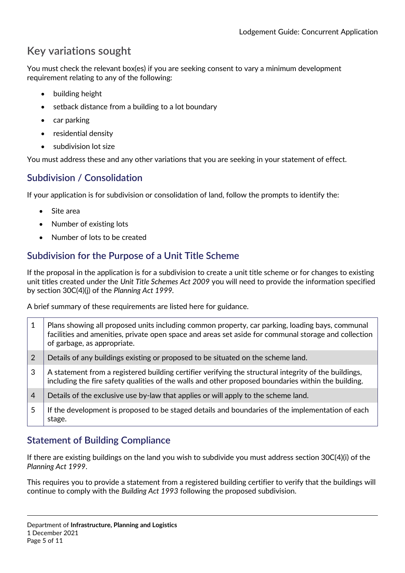# **Key variations sought**

You must check the relevant box(es) if you are seeking consent to vary a minimum development requirement relating to any of the following:

- building height
- setback distance from a building to a lot boundary
- $\bullet$  car parking
- residential density
- subdivision lot size

You must address these and any other variations that you are seeking in your statement of effect.

### **Subdivision / Consolidation**

If your application is for subdivision or consolidation of land, follow the prompts to identify the:

- Site area
- Number of existing lots
- Number of lots to be created

### **Subdivision for the Purpose of a Unit Title Scheme**

If the proposal in the application is for a subdivision to create a unit title scheme or for changes to existing unit titles created under the *Unit Title Schemes Act 2009* you will need to provide the information specified by section 30C(4)(j) of the *Planning Act 1999.* 

A brief summary of these requirements are listed here for guidance.

| 1              | Plans showing all proposed units including common property, car parking, loading bays, communal<br>facilities and amenities, private open space and areas set aside for communal storage and collection<br>of garbage, as appropriate. |
|----------------|----------------------------------------------------------------------------------------------------------------------------------------------------------------------------------------------------------------------------------------|
| $\overline{2}$ | Details of any buildings existing or proposed to be situated on the scheme land.                                                                                                                                                       |
| 3              | A statement from a registered building certifier verifying the structural integrity of the buildings,<br>including the fire safety qualities of the walls and other proposed boundaries within the building.                           |
| $\overline{4}$ | Details of the exclusive use by-law that applies or will apply to the scheme land.                                                                                                                                                     |
| 5              | If the development is proposed to be staged details and boundaries of the implementation of each<br>stage.                                                                                                                             |

### **Statement of Building Compliance**

If there are existing buildings on the land you wish to subdivide you must address section 30C(4)(i) of the *Planning Act 1999*.

This requires you to provide a statement from a registered building certifier to verify that the buildings will continue to comply with the *Building Act 1993* following the proposed subdivision.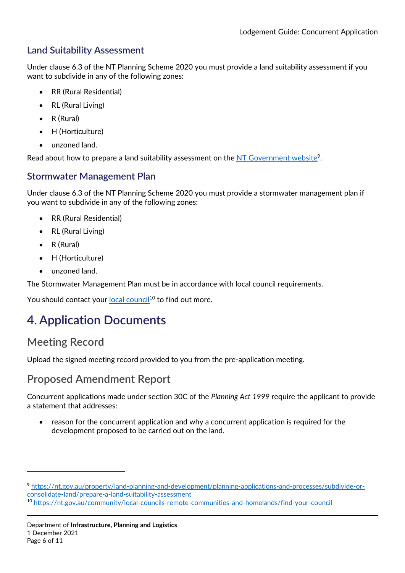### **Land Suitability Assessment**

Under clause 6.3 of the NT Planning Scheme 2020 you must provide a land suitability assessment if you want to subdivide in any of the following zones:

- RR (Rural Residential)
- RL (Rural Living)
- R (Rural)
- H (Horticulture)
- unzoned land.

Read about how to prepare a land suitability assessment on the [NT Government website](https://nt.gov.au/property/land-planning-and-development/planning-applications-and-processes/subdivide-or-consolidate-land/prepare-a-land-suitability-assessment)<sup>9</sup>.

### **Stormwater Management Plan**

Under clause 6.3 of the NT Planning Scheme 2020 you must provide a stormwater management plan if you want to subdivide in any of the following zones:

- RR (Rural Residential)
- RL (Rural Living)
- R (Rural)
- H (Horticulture)
- unzoned land.

The Stormwater Management Plan must be in accordance with local council requirements.

You should contact your [local council](https://nt.gov.au/community/local-councils-remote-communities-and-homelands/find-your-council)<sup>10</sup> to find out more.

# **4. Application Documents**

# **Meeting Record**

 $\overline{a}$ 

Upload the signed meeting record provided to you from the pre-application meeting.

# **Proposed Amendment Report**

Concurrent applications made under section 30C of the *Planning Act 1999* require the applicant to provide a statement that addresses:

 reason for the concurrent application and why a concurrent application is required for the development proposed to be carried out on the land.

<sup>9</sup> [https://nt.gov.au/property/land-planning-and-development/planning-applications-and-processes/subdivide-or](https://nt.gov.au/property/land-planning-and-development/planning-applications-and-processes/subdivide-or-consolidate-land/prepare-a-land-suitability-assessment)[consolidate-land/prepare-a-land-suitability-assessment](https://nt.gov.au/property/land-planning-and-development/planning-applications-and-processes/subdivide-or-consolidate-land/prepare-a-land-suitability-assessment)

<sup>10</sup> <https://nt.gov.au/community/local-councils-remote-communities-and-homelands/find-your-council>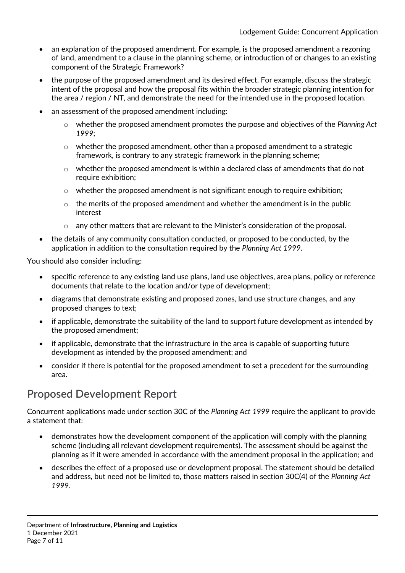- an explanation of the proposed amendment. For example, is the proposed amendment a rezoning of land, amendment to a clause in the planning scheme, or introduction of or changes to an existing component of the Strategic Framework?
- the purpose of the proposed amendment and its desired effect. For example, discuss the strategic intent of the proposal and how the proposal fits within the broader strategic planning intention for the area / region / NT, and demonstrate the need for the intended use in the proposed location.
- an assessment of the proposed amendment including:
	- o whether the proposed amendment promotes the purpose and objectives of the *Planning Act 1999*;
	- $\circ$  whether the proposed amendment, other than a proposed amendment to a strategic framework, is contrary to any strategic framework in the planning scheme;
	- o whether the proposed amendment is within a declared class of amendments that do not require exhibition;
	- $\circ$  whether the proposed amendment is not significant enough to require exhibition;
	- $\circ$  the merits of the proposed amendment and whether the amendment is in the public interest
	- o any other matters that are relevant to the Minister's consideration of the proposal.
- the details of any community consultation conducted, or proposed to be conducted, by the application in addition to the consultation required by the *Planning Act 1999*.

You should also consider including:

- specific reference to any existing land use plans, land use objectives, area plans, policy or reference documents that relate to the location and/or type of development;
- diagrams that demonstrate existing and proposed zones, land use structure changes, and any proposed changes to text;
- if applicable, demonstrate the suitability of the land to support future development as intended by the proposed amendment;
- if applicable, demonstrate that the infrastructure in the area is capable of supporting future development as intended by the proposed amendment; and
- consider if there is potential for the proposed amendment to set a precedent for the surrounding area.

# **Proposed Development Report**

Concurrent applications made under section 30C of the *Planning Act 1999* require the applicant to provide a statement that:

- demonstrates how the development component of the application will comply with the planning scheme (including all relevant development requirements). The assessment should be against the planning as if it were amended in accordance with the amendment proposal in the application; and
- describes the effect of a proposed use or development proposal. The statement should be detailed and address, but need not be limited to, those matters raised in section 30C(4) of the *Planning Act 1999*.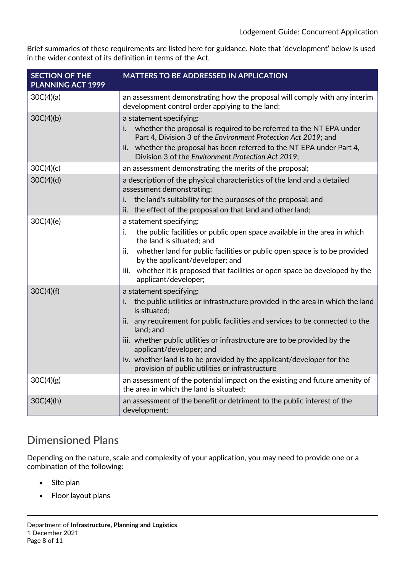Brief summaries of these requirements are listed here for guidance. Note that 'development' below is used in the wider context of its definition in terms of the Act.

| <b>SECTION OF THE</b><br>PLANNING ACT 1999 | <b>MATTERS TO BE ADDRESSED IN APPLICATION</b>                                                                                         |
|--------------------------------------------|---------------------------------------------------------------------------------------------------------------------------------------|
| 30C(4)(a)                                  | an assessment demonstrating how the proposal will comply with any interim<br>development control order applying to the land;          |
| 30C(4)(b)                                  | a statement specifying:                                                                                                               |
|                                            | whether the proposal is required to be referred to the NT EPA under<br>Part 4, Division 3 of the Environment Protection Act 2019; and |
|                                            | ii. whether the proposal has been referred to the NT EPA under Part 4,<br>Division 3 of the Environment Protection Act 2019;          |
| 30C(4)(c)                                  | an assessment demonstrating the merits of the proposal;                                                                               |
| 30C(4)(d)                                  | a description of the physical characteristics of the land and a detailed<br>assessment demonstrating:                                 |
|                                            | the land's suitability for the purposes of the proposal; and<br>İ.                                                                    |
|                                            | the effect of the proposal on that land and other land;<br>ii.                                                                        |
| 30C(4)(e)                                  | a statement specifying:                                                                                                               |
|                                            | the public facilities or public open space available in the area in which<br>i.<br>the land is situated; and                          |
|                                            | whether land for public facilities or public open space is to be provided<br>ii.<br>by the applicant/developer; and                   |
|                                            | iii. whether it is proposed that facilities or open space be developed by the<br>applicant/developer;                                 |
| 30C(4)(f)                                  | a statement specifying:                                                                                                               |
|                                            | the public utilities or infrastructure provided in the area in which the land<br>i.<br>is situated:                                   |
|                                            | any requirement for public facilities and services to be connected to the<br>ii.<br>land; and                                         |
|                                            | iii. whether public utilities or infrastructure are to be provided by the<br>applicant/developer; and                                 |
|                                            | iv. whether land is to be provided by the applicant/developer for the<br>provision of public utilities or infrastructure              |
| 30C(4)(g)                                  | an assessment of the potential impact on the existing and future amenity of<br>the area in which the land is situated:                |
| 30C(4)(h)                                  | an assessment of the benefit or detriment to the public interest of the<br>development;                                               |

# **Dimensioned Plans**

Depending on the nature, scale and complexity of your application, you may need to provide one or a combination of the following:

- Site plan
- Floor layout plans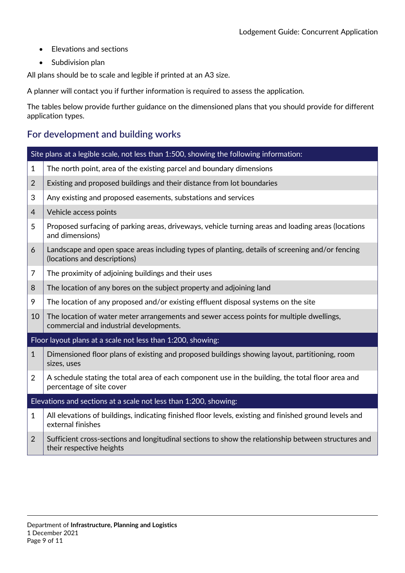- Elevations and sections
- Subdivision plan

All plans should be to scale and legible if printed at an A3 size.

A planner will contact you if further information is required to assess the application.

The tables below provide further guidance on the dimensioned plans that you should provide for different application types.

### **For development and building works**

|                                                                  | Site plans at a legible scale, not less than 1:500, showing the following information:                                              |  |  |
|------------------------------------------------------------------|-------------------------------------------------------------------------------------------------------------------------------------|--|--|
| $\mathbf{1}$                                                     | The north point, area of the existing parcel and boundary dimensions                                                                |  |  |
| $\overline{2}$                                                   | Existing and proposed buildings and their distance from lot boundaries                                                              |  |  |
| 3                                                                | Any existing and proposed easements, substations and services                                                                       |  |  |
| 4                                                                | Vehicle access points                                                                                                               |  |  |
| 5                                                                | Proposed surfacing of parking areas, driveways, vehicle turning areas and loading areas (locations<br>and dimensions)               |  |  |
| 6                                                                | Landscape and open space areas including types of planting, details of screening and/or fencing<br>(locations and descriptions)     |  |  |
| 7                                                                | The proximity of adjoining buildings and their uses                                                                                 |  |  |
| 8                                                                | The location of any bores on the subject property and adjoining land                                                                |  |  |
| 9                                                                | The location of any proposed and/or existing effluent disposal systems on the site                                                  |  |  |
| 10                                                               | The location of water meter arrangements and sewer access points for multiple dwellings,<br>commercial and industrial developments. |  |  |
| Floor layout plans at a scale not less than 1:200, showing:      |                                                                                                                                     |  |  |
| $\mathbf{1}$                                                     | Dimensioned floor plans of existing and proposed buildings showing layout, partitioning, room<br>sizes, uses                        |  |  |
| $\overline{2}$                                                   | A schedule stating the total area of each component use in the building, the total floor area and<br>percentage of site cover       |  |  |
| Elevations and sections at a scale not less than 1:200, showing: |                                                                                                                                     |  |  |
| $\mathbf{1}$                                                     | All elevations of buildings, indicating finished floor levels, existing and finished ground levels and<br>external finishes         |  |  |
| $\overline{2}$                                                   | Sufficient cross-sections and longitudinal sections to show the relationship between structures and<br>their respective heights     |  |  |
|                                                                  |                                                                                                                                     |  |  |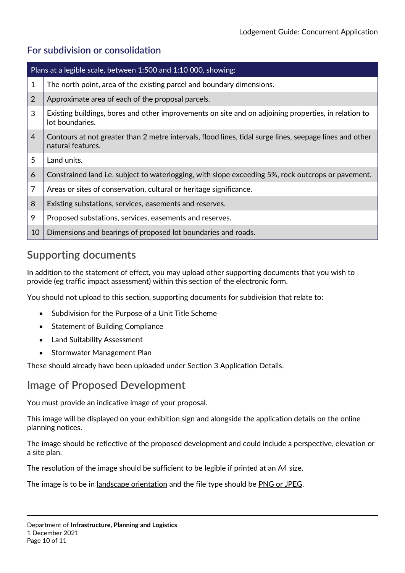### **For subdivision or consolidation**

| Plans at a legible scale, between 1:500 and 1:10 000, showing: |                                                                                                                              |  |
|----------------------------------------------------------------|------------------------------------------------------------------------------------------------------------------------------|--|
| 1                                                              | The north point, area of the existing parcel and boundary dimensions.                                                        |  |
| 2                                                              | Approximate area of each of the proposal parcels.                                                                            |  |
| 3                                                              | Existing buildings, bores and other improvements on site and on adjoining properties, in relation to<br>lot boundaries.      |  |
| $\overline{4}$                                                 | Contours at not greater than 2 metre intervals, flood lines, tidal surge lines, seepage lines and other<br>natural features. |  |
| 5                                                              | Land units.                                                                                                                  |  |
| 6                                                              | Constrained land i.e. subject to waterlogging, with slope exceeding 5%, rock outcrops or pavement.                           |  |
| 7                                                              | Areas or sites of conservation, cultural or heritage significance.                                                           |  |
| 8                                                              | Existing substations, services, easements and reserves.                                                                      |  |
| 9                                                              | Proposed substations, services, easements and reserves.                                                                      |  |
| 10                                                             | Dimensions and bearings of proposed lot boundaries and roads.                                                                |  |

# **Supporting documents**

In addition to the statement of effect, you may upload other supporting documents that you wish to provide (eg traffic impact assessment) within this section of the electronic form.

You should not upload to this section, supporting documents for subdivision that relate to:

- Subdivision for the Purpose of a Unit Title Scheme
- Statement of Building Compliance
- Land Suitability Assessment
- Stormwater Management Plan

These should already have been uploaded under Section 3 Application Details.

# **Image of Proposed Development**

You must provide an indicative image of your proposal.

This image will be displayed on your exhibition sign and alongside the application details on the online planning notices.

The image should be reflective of the proposed development and could include a perspective, elevation or a site plan.

The resolution of the image should be sufficient to be legible if printed at an A4 size.

The image is to be in landscape orientation and the file type should be PNG or JPEG.